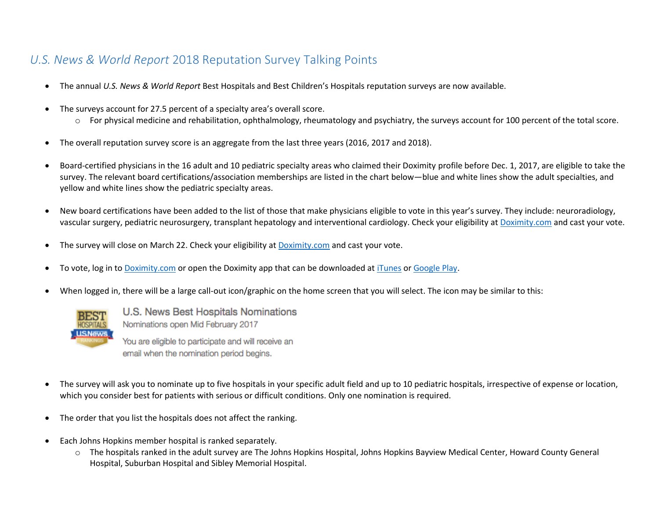## *U.S. News & World Report* 2018 Reputation Survey Talking Points

- The annual *U.S. News & World Report* Best Hospitals and Best Children's Hospitals reputation surveys are now available.
- The surveys account for 27.5 percent of a specialty area's overall score.
	- $\circ$  For physical medicine and rehabilitation, ophthalmology, rheumatology and psychiatry, the surveys account for 100 percent of the total score.
- The overall reputation survey score is an aggregate from the last three years (2016, 2017 and 2018).
- Board-certified physicians in the 16 adult and 10 pediatric specialty areas who claimed their Doximity profile before Dec. 1, 2017, are eligible to take the survey. The relevant board certifications/association memberships are listed in the chart below—blue and white lines show the adult specialties, and yellow and white lines show the pediatric specialty areas.
- New board certifications have been added to the list of those that make physicians eligible to vote in this year's survey. They include: neuroradiology, vascular surgery, pediatric neurosurgery, transplant hepatology and interventional cardiology. Check your eligibility at [Doximity.com](http://www.doximity.com/) and cast your vote.
- The survey will close on March 22. Check your eligibility a[t Doximity.com](http://www.doximity.com/) and cast your vote.
- To vote, log in t[o Doximity.com](http://www.doximity.com/) or open the Doximity app that can be downloaded at [iTunes](https://itunes.apple.com/us/app/doximity/id393642611) or [Google Play.](https://play.google.com/store/apps/details?id=com.doximity.doximitydroid)
- When logged in, there will be a large call-out icon/graphic on the home screen that you will select. The icon may be similar to this:



U.S. News Best Hospitals Nominations Nominations open Mid February 2017 You are eligible to participate and will receive an

email when the nomination period begins.

- The survey will ask you to nominate up to five hospitals in your specific adult field and up to 10 pediatric hospitals, irrespective of expense or location, which you consider best for patients with serious or difficult conditions. Only one nomination is required.
- The order that you list the hospitals does not affect the ranking.
- Each Johns Hopkins member hospital is ranked separately.
	- o The hospitals ranked in the adult survey are The Johns Hopkins Hospital, Johns Hopkins Bayview Medical Center, Howard County General Hospital, Suburban Hospital and Sibley Memorial Hospital.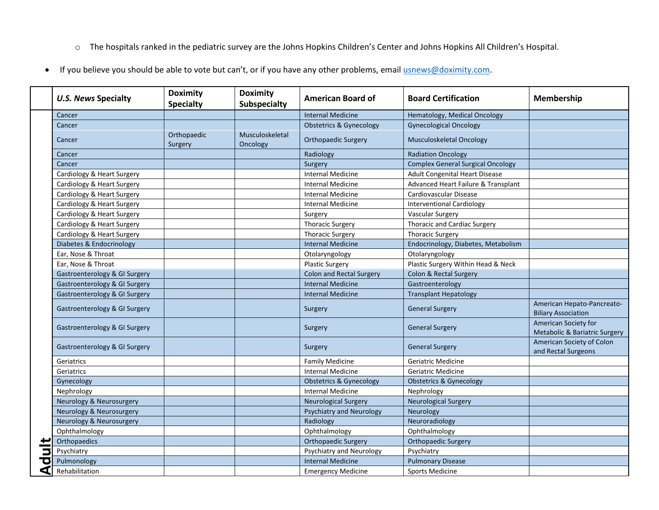- o The hospitals ranked in the pediatric survey are the Johns Hopkins Children's Center and Johns Hopkins All Children's Hospital.
- If you believe you should be able to vote but can't, or if you have any other problems, emai[l usnews@doximity.com.](mailto:usnews@doximity.com)

|   | <b>U.S. News Specialty</b>    | <b>Doximity</b><br><b>Specialty</b> | <b>Doximity</b><br><b>Subspecialty</b> | <b>American Board of</b>           | <b>Board Certification</b>               | Membership                                                       |
|---|-------------------------------|-------------------------------------|----------------------------------------|------------------------------------|------------------------------------------|------------------------------------------------------------------|
|   | Cancer                        |                                     |                                        | <b>Internal Medicine</b>           | Hematology, Medical Oncology             |                                                                  |
|   | Cancer                        |                                     |                                        | <b>Obstetrics &amp; Gynecology</b> | <b>Gynecological Oncology</b>            |                                                                  |
|   | Cancer                        | Orthopaedic<br>Surgery              | Musculoskeletal<br>Oncology            | <b>Orthopaedic Surgery</b>         | Musculoskeletal Oncology                 |                                                                  |
|   | Cancer                        |                                     |                                        | Radiology                          | <b>Radiation Oncology</b>                |                                                                  |
|   | Cancer                        |                                     |                                        | Surgery                            | <b>Complex General Surgical Oncology</b> |                                                                  |
|   | Cardiology & Heart Surgery    |                                     |                                        | <b>Internal Medicine</b>           | <b>Adult Congenital Heart Disease</b>    |                                                                  |
|   | Cardiology & Heart Surgery    |                                     |                                        | <b>Internal Medicine</b>           | Advanced Heart Failure & Transplant      |                                                                  |
|   | Cardiology & Heart Surgery    |                                     |                                        | Internal Medicine                  | Cardiovascular Disease                   |                                                                  |
|   | Cardiology & Heart Surgery    |                                     |                                        | <b>Internal Medicine</b>           | <b>Interventional Cardiology</b>         |                                                                  |
|   | Cardiology & Heart Surgery    |                                     |                                        | Surgery                            | <b>Vascular Surgery</b>                  |                                                                  |
|   | Cardiology & Heart Surgery    |                                     |                                        | <b>Thoracic Surgery</b>            | <b>Thoracic and Cardiac Surgery</b>      |                                                                  |
|   | Cardiology & Heart Surgery    |                                     |                                        | <b>Thoracic Surgery</b>            | <b>Thoracic Surgery</b>                  |                                                                  |
|   | Diabetes & Endocrinology      |                                     |                                        | <b>Internal Medicine</b>           | Endocrinology, Diabetes, Metabolism      |                                                                  |
|   | Ear, Nose & Throat            |                                     |                                        | Otolaryngology                     | Otolaryngology                           |                                                                  |
|   | Ear, Nose & Throat            |                                     |                                        | <b>Plastic Surgery</b>             | Plastic Surgery Within Head & Neck       |                                                                  |
|   | Gastroenterology & GI Surgery |                                     |                                        | <b>Colon and Rectal Surgery</b>    | Colon & Rectal Surgery                   |                                                                  |
|   | Gastroenterology & GI Surgery |                                     |                                        | <b>Internal Medicine</b>           | Gastroenterology                         |                                                                  |
|   | Gastroenterology & GI Surgery |                                     |                                        | <b>Internal Medicine</b>           | <b>Transplant Hepatology</b>             |                                                                  |
|   | Gastroenterology & GI Surgery |                                     |                                        | Surgery                            | <b>General Surgery</b>                   | American Hepato-Pancreato-<br><b>Biliary Association</b>         |
|   | Gastroenterology & GI Surgery |                                     |                                        | Surgery                            | <b>General Surgery</b>                   | American Society for<br><b>Metabolic &amp; Bariatric Surgery</b> |
|   | Gastroenterology & GI Surgery |                                     |                                        | Surgery                            | <b>General Surgery</b>                   | American Society of Colon<br>and Rectal Surgeons                 |
|   | Geriatrics                    |                                     |                                        | <b>Family Medicine</b>             | Geriatric Medicine                       |                                                                  |
|   | Geriatrics                    |                                     |                                        | <b>Internal Medicine</b>           | Geriatric Medicine                       |                                                                  |
|   | Gynecology                    |                                     |                                        | <b>Obstetrics &amp; Gynecology</b> | <b>Obstetrics &amp; Gynecology</b>       |                                                                  |
|   | Nephrology                    |                                     |                                        | <b>Internal Medicine</b>           | Nephrology                               |                                                                  |
|   | Neurology & Neurosurgery      |                                     |                                        | <b>Neurological Surgery</b>        | <b>Neurological Surgery</b>              |                                                                  |
|   | Neurology & Neurosurgery      |                                     |                                        | <b>Psychiatry and Neurology</b>    | Neurology                                |                                                                  |
|   | Neurology & Neurosurgery      |                                     |                                        | Radiology                          | Neuroradiology                           |                                                                  |
|   | Ophthalmology                 |                                     |                                        | Ophthalmology                      | Ophthalmology                            |                                                                  |
|   | Orthopaedics                  |                                     |                                        | <b>Orthopaedic Surgery</b>         | <b>Orthopaedic Surgery</b>               |                                                                  |
|   | Psychiatry                    |                                     |                                        | Psychiatry and Neurology           | Psychiatry                               |                                                                  |
| ਹ | Pulmonology                   |                                     |                                        | <b>Internal Medicine</b>           | <b>Pulmonary Disease</b>                 |                                                                  |
| ⋖ | Rehabilitation                |                                     |                                        | <b>Emergency Medicine</b>          | <b>Sports Medicine</b>                   |                                                                  |